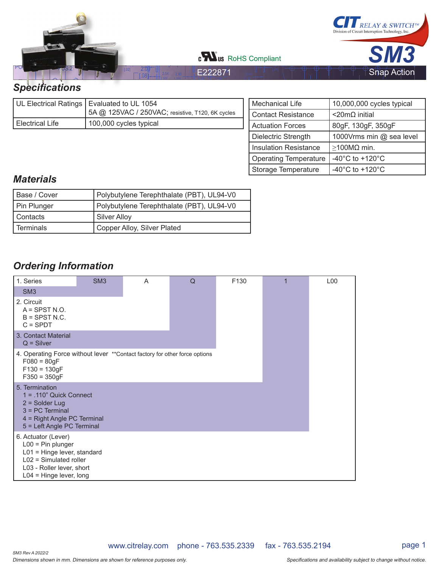

|                 | UL Electrical Ratings   Evaluated to UL 1054<br>5A @ 125VAC / 250VAC; resistive, T120, 6K cycles |
|-----------------|--------------------------------------------------------------------------------------------------|
| Electrical Life | 100,000 cycles typical                                                                           |

| <b>Mechanical Life</b>       | 10,000,000 cycles typical             |  |  |  |
|------------------------------|---------------------------------------|--|--|--|
| <b>Contact Resistance</b>    | <20mΩ initial                         |  |  |  |
| <b>Actuation Forces</b>      | 80gF, 130gF, 350gF                    |  |  |  |
| Dielectric Strength          | 1000Vrms min @ sea level              |  |  |  |
| <b>Insulation Resistance</b> | $\geq$ 100MΩ min.                     |  |  |  |
| <b>Operating Temperature</b> | -40 $^{\circ}$ C to +120 $^{\circ}$ C |  |  |  |
| Storage Temperature          | -40 $^{\circ}$ C to +120 $^{\circ}$ C |  |  |  |

## *Materials*

| Base / Cover | Polybutylene Terephthalate (PBT), UL94-V0 |  |  |  |  |
|--------------|-------------------------------------------|--|--|--|--|
| Pin Plunger  | Polybutylene Terephthalate (PBT), UL94-V0 |  |  |  |  |
| I Contacts   | Silver Alloy                              |  |  |  |  |
| l Terminals  | Copper Alloy, Silver Plated               |  |  |  |  |

# *Ordering Information*

| 1. Series                                                                                                                                                       | SM <sub>3</sub> | A | Q | F130 | L <sub>0</sub> 0 |
|-----------------------------------------------------------------------------------------------------------------------------------------------------------------|-----------------|---|---|------|------------------|
| SM <sub>3</sub>                                                                                                                                                 |                 |   |   |      |                  |
| 2. Circuit<br>$A =$ SPST N.O.<br>$B =$ SPST N.C.<br>$C = SPDT$                                                                                                  |                 |   |   |      |                  |
| 3. Contact Material<br>$Q =$ Silver                                                                                                                             |                 |   |   |      |                  |
| 4. Operating Force without lever ** Contact factory for other force options<br>$F080 = 80$ gF<br>$F130 = 130gF$<br>$F350 = 350gF$                               |                 |   |   |      |                  |
| 5. Termination<br>$1 = .110"$ Quick Connect<br>$2 =$ Solder Lug<br>$3 = PC$ Terminal<br>4 = Right Angle PC Terminal<br>5 = Left Angle PC Terminal               |                 |   |   |      |                  |
| 6. Actuator (Lever)<br>$L00 = Pin$ plunger<br>L01 = Hinge lever, standard<br>$L02$ = Simulated roller<br>L03 - Roller lever, short<br>$L04$ = Hinge lever, long |                 |   |   |      |                  |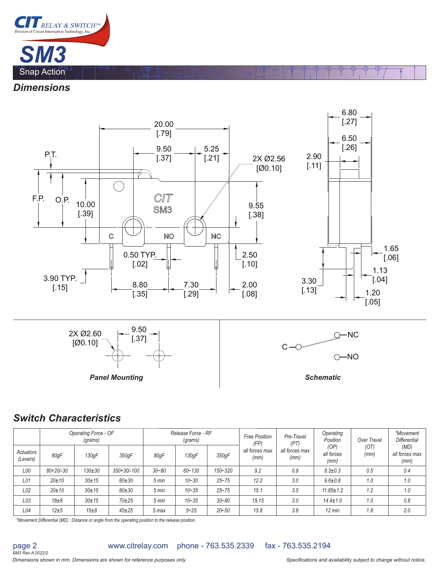

*Dimensions*



[.10]

[ 10]

 $(2x)$ 

[ 20]

[ 20]

[ 10]

.<br>مع<del>رفات له نص</del>

### *Switch Characteristics*

SM3 Rev A 2022/2 page 2

|                       | Release Force - RF<br>Operating Force - OF<br>(grams)<br>(grams) |            |             | <b>Free Position</b><br>(FP) | Pre-Travel<br>(PT) | Operating<br>Position | Over Travel            | *Movement<br><b>Differential</b> |                            |              |                                |
|-----------------------|------------------------------------------------------------------|------------|-------------|------------------------------|--------------------|-----------------------|------------------------|----------------------------------|----------------------------|--------------|--------------------------------|
| Actuators<br>(Levers) | 80qF                                                             | 130qF      | 350gF       | 80gF                         | 130qF              | 350qF                 | all forces max<br>(mm) | all forces max<br>(mm)           | (OP)<br>all forces<br>(mm) | (OT)<br>(mm) | (MD)<br>all forces max<br>(mm) |
| L00                   | $80+20/-30$                                                      | $130 + 30$ | 350+30/-100 | $30 - 80$                    | $60 - 130$         | $150 - 320$           | 9.2                    | 0.9                              | $8.3 \pm 0.3$              | 0.5          | 0.4                            |
| L01                   | 20±10                                                            | $30 + 15$  | $80 + 30$   | $5 \text{ min}$              | $10 - 30$          | $25 - 75$             | 12.2                   | 3.0                              | $9.6 \pm 0.8$              | 1.0          | 1.0                            |
| L02                   | 20±10                                                            | $30 + 15$  | $80 + 30$   | $5 \text{ min}$              | $10 - 35$          | $25 - 75$             | 15.1                   | 3.5                              | $11.85 \pm 1.2$            | 1.2          | 1.0                            |
| L03                   | $18\pm8$                                                         | $30 + 15$  | $70 + 25$   | $5 \text{ min}$              | $10 - 35$          | $30 - 80$             | 19.15                  | 3.0                              | $14.4 \pm 1.0$             | 1.0          | 0.8                            |
| L04                   | $12\pm5$                                                         | $15\pm8$   | $45 + 25$   | 5 max                        | $5 - 25$           | $20 - 50$             | 15.8                   | 3.8                              | $12 \text{ min}$           | 1.8          | 2.0                            |

*\*Movement Differential (MD) : Distance or angle from the operating position to the release position.*

www.citrelay.com phone - 763.535.2339 fax - 763.535.2194

Dimensions shown in mm. Dimensions are shown for reference purposes only. This may be a subjection and availability subject to change without notice.

**Panel Mounting Community Community Community Community Community Community Community Community Community Community**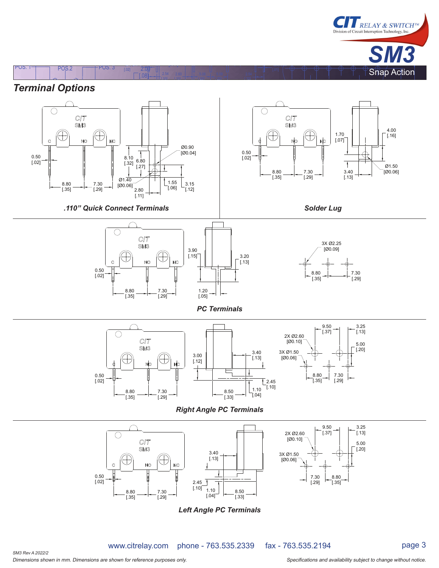

# *Terminal Options*



[.10]

[ 10]

(2X) Q0.40

[.02] [ ] POS. 1 POS.2 POS. 3 [.77] 2.00

[ 20]

[ 20]

[ 10]

ر<br>مورد ب

*Left Angle PC Terminals*

www.citrelay.com phone - 763.535.2339 fax - 763.535.2194

Dimensions shown in mm. Dimensions are shown for reference purposes only. The state of the state of the specifications and availability subject to change without notice. SM3 Rev A 2022/2